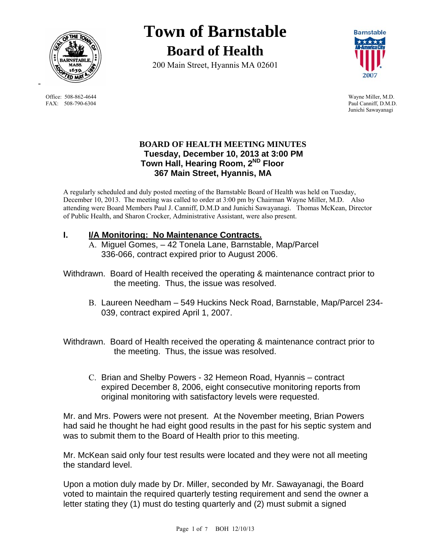

Office: 508-862-4644 Wayne Miller, M.D.<br>
FAX: 508-790-6304 Paul Canniff: D.M.D.

# **Town of Barnstable Board of Health**

200 Main Street, Hyannis MA 02601



Paul Canniff, D.M.D. Junichi Sawayanagi

## **BOARD OF HEALTH MEETING MINUTES Tuesday, December 10, 2013 at 3:00 PM Town Hall, Hearing Room, 2ND Floor 367 Main Street, Hyannis, MA**

A regularly scheduled and duly posted meeting of the Barnstable Board of Health was held on Tuesday, December 10, 2013. The meeting was called to order at 3:00 pm by Chairman Wayne Miller, M.D. Also attending were Board Members Paul J. Canniff, D.M.D and Junichi Sawayanagi. Thomas McKean, Director of Public Health, and Sharon Crocker, Administrative Assistant, were also present.

# **I. I/A Monitoring: No Maintenance Contracts.**

- A. Miguel Gomes, 42 Tonela Lane, Barnstable, Map/Parcel 336-066, contract expired prior to August 2006.
- Withdrawn. Board of Health received the operating & maintenance contract prior to the meeting. Thus, the issue was resolved.
	- B. Laureen Needham 549 Huckins Neck Road, Barnstable, Map/Parcel 234- 039, contract expired April 1, 2007.

Withdrawn. Board of Health received the operating & maintenance contract prior to the meeting. Thus, the issue was resolved.

C. Brian and Shelby Powers - 32 Hemeon Road, Hyannis – contract expired December 8, 2006, eight consecutive monitoring reports from original monitoring with satisfactory levels were requested.

Mr. and Mrs. Powers were not present. At the November meeting, Brian Powers had said he thought he had eight good results in the past for his septic system and was to submit them to the Board of Health prior to this meeting.

Mr. McKean said only four test results were located and they were not all meeting the standard level.

Upon a motion duly made by Dr. Miller, seconded by Mr. Sawayanagi, the Board voted to maintain the required quarterly testing requirement and send the owner a letter stating they (1) must do testing quarterly and (2) must submit a signed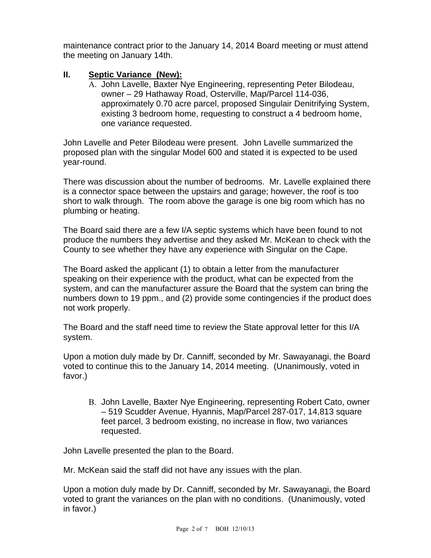maintenance contract prior to the January 14, 2014 Board meeting or must attend the meeting on January 14th.

# **II. Septic Variance (New):**

A. John Lavelle, Baxter Nye Engineering, representing Peter Bilodeau, owner – 29 Hathaway Road, Osterville, Map/Parcel 114-036, approximately 0.70 acre parcel, proposed Singulair Denitrifying System, existing 3 bedroom home, requesting to construct a 4 bedroom home, one variance requested.

John Lavelle and Peter Bilodeau were present. John Lavelle summarized the proposed plan with the singular Model 600 and stated it is expected to be used year-round.

There was discussion about the number of bedrooms. Mr. Lavelle explained there is a connector space between the upstairs and garage; however, the roof is too short to walk through. The room above the garage is one big room which has no plumbing or heating.

The Board said there are a few I/A septic systems which have been found to not produce the numbers they advertise and they asked Mr. McKean to check with the County to see whether they have any experience with Singular on the Cape.

The Board asked the applicant (1) to obtain a letter from the manufacturer speaking on their experience with the product, what can be expected from the system, and can the manufacturer assure the Board that the system can bring the numbers down to 19 ppm., and (2) provide some contingencies if the product does not work properly.

The Board and the staff need time to review the State approval letter for this I/A system.

Upon a motion duly made by Dr. Canniff, seconded by Mr. Sawayanagi, the Board voted to continue this to the January 14, 2014 meeting. (Unanimously, voted in favor.)

B. John Lavelle, Baxter Nye Engineering, representing Robert Cato, owner – 519 Scudder Avenue, Hyannis, Map/Parcel 287-017, 14,813 square feet parcel, 3 bedroom existing, no increase in flow, two variances requested.

John Lavelle presented the plan to the Board.

Mr. McKean said the staff did not have any issues with the plan.

Upon a motion duly made by Dr. Canniff, seconded by Mr. Sawayanagi, the Board voted to grant the variances on the plan with no conditions. (Unanimously, voted in favor.)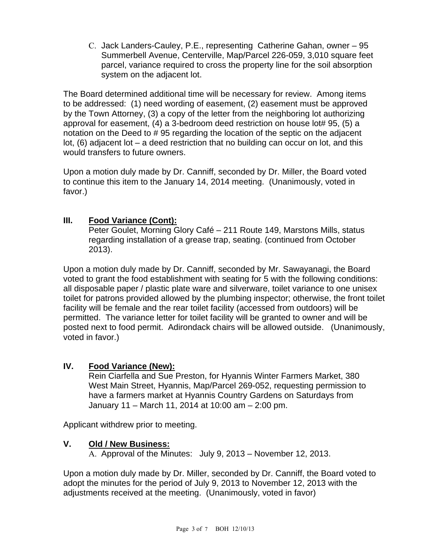C. Jack Landers-Cauley, P.E., representing Catherine Gahan, owner – 95 Summerbell Avenue, Centerville, Map/Parcel 226-059, 3,010 square feet parcel, variance required to cross the property line for the soil absorption system on the adjacent lot.

The Board determined additional time will be necessary for review. Among items to be addressed: (1) need wording of easement, (2) easement must be approved by the Town Attorney, (3) a copy of the letter from the neighboring lot authorizing approval for easement, (4) a 3-bedroom deed restriction on house lot# 95, (5) a notation on the Deed to # 95 regarding the location of the septic on the adjacent lot, (6) adjacent lot – a deed restriction that no building can occur on lot, and this would transfers to future owners.

Upon a motion duly made by Dr. Canniff, seconded by Dr. Miller, the Board voted to continue this item to the January 14, 2014 meeting. (Unanimously, voted in favor.)

# **III. Food Variance (Cont):**

Peter Goulet, Morning Glory Café – 211 Route 149, Marstons Mills, status regarding installation of a grease trap, seating. (continued from October 2013).

Upon a motion duly made by Dr. Canniff, seconded by Mr. Sawayanagi, the Board voted to grant the food establishment with seating for 5 with the following conditions: all disposable paper / plastic plate ware and silverware, toilet variance to one unisex toilet for patrons provided allowed by the plumbing inspector; otherwise, the front toilet facility will be female and the rear toilet facility (accessed from outdoors) will be permitted. The variance letter for toilet facility will be granted to owner and will be posted next to food permit. Adirondack chairs will be allowed outside. (Unanimously, voted in favor.)

# **IV. Food Variance (New):**

Rein Ciarfella and Sue Preston, for Hyannis Winter Farmers Market, 380 West Main Street, Hyannis, Map/Parcel 269-052, requesting permission to have a farmers market at Hyannis Country Gardens on Saturdays from January 11 – March 11, 2014 at 10:00 am – 2:00 pm.

Applicant withdrew prior to meeting.

# **V. Old / New Business:**

A. Approval of the Minutes: July 9, 2013 – November 12, 2013.

Upon a motion duly made by Dr. Miller, seconded by Dr. Canniff, the Board voted to adopt the minutes for the period of July 9, 2013 to November 12, 2013 with the adjustments received at the meeting. (Unanimously, voted in favor)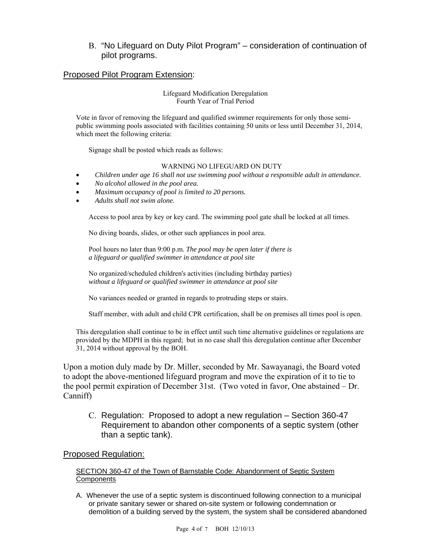## B. "No Lifeguard on Duty Pilot Program" – consideration of continuation of pilot programs.

## Proposed Pilot Program Extension:

#### Lifeguard Modification Deregulation Fourth Year of Trial Period

Vote in favor of removing the lifeguard and qualified swimmer requirements for only those semipublic swimming pools associated with facilities containing 50 units or less until December 31, 2014, which meet the following criteria:

Signage shall be posted which reads as follows:

#### WARNING NO LIFEGUARD ON DUTY

- *Children under age 16 shall not use swimming pool without a responsible adult in attendance.*
- *No alcohol allowed in the pool area.*
- *Maximum occupancy of pool is limited to 20 persons.*
- *Adults shall not swim alone.*

Access to pool area by key or key card. The swimming pool gate shall be locked at all times.

No diving boards, slides, or other such appliances in pool area.

 Pool hours no later than 9:00 p.m. *The pool may be open later if there is a lifeguard or qualified swimmer in attendance at pool site*

 No organized/scheduled children's activities (including birthday parties) *without a lifeguard or qualified swimmer in attendance at pool site*

No variances needed or granted in regards to protruding steps or stairs.

Staff member, with adult and child CPR certification, shall be on premises all times pool is open.

This deregulation shall continue to be in effect until such time alternative guidelines or regulations are provided by the MDPH in this regard; but in no case shall this deregulation continue after December 31, 2014 without approval by the BOH.

Upon a motion duly made by Dr. Miller, seconded by Mr. Sawayanagi, the Board voted to adopt the above-mentioned lifeguard program and move the expiration of it to tie to the pool permit expiration of December 31st. (Two voted in favor, One abstained – Dr. Canniff)

C. Regulation: Proposed to adopt a new regulation – Section 360-47 Requirement to abandon other components of a septic system (other than a septic tank).

#### Proposed Regulation:

#### SECTION 360-47 of the Town of Barnstable Code: Abandonment of Septic System **Components**

A. Whenever the use of a septic system is discontinued following connection to a municipal or private sanitary sewer or shared on-site system or following condemnation or demolition of a building served by the system, the system shall be considered abandoned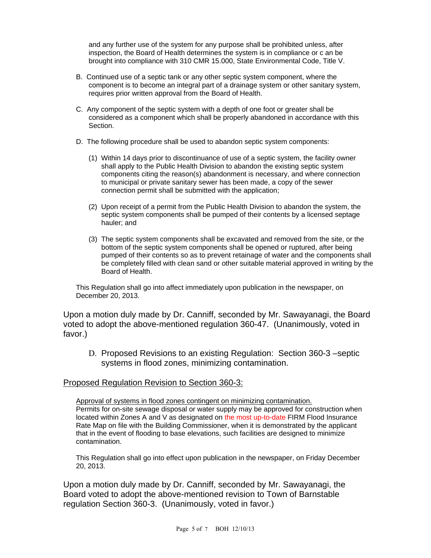and any further use of the system for any purpose shall be prohibited unless, after inspection, the Board of Health determines the system is in compliance or c an be brought into compliance with 310 CMR 15.000, State Environmental Code, Title V.

- B. Continued use of a septic tank or any other septic system component, where the component is to become an integral part of a drainage system or other sanitary system, requires prior written approval from the Board of Health.
- C. Any component of the septic system with a depth of one foot or greater shall be considered as a component which shall be properly abandoned in accordance with this Section.
- D. The following procedure shall be used to abandon septic system components:
	- (1) Within 14 days prior to discontinuance of use of a septic system, the facility owner shall apply to the Public Health Division to abandon the existing septic system components citing the reason(s) abandonment is necessary, and where connection to municipal or private sanitary sewer has been made, a copy of the sewer connection permit shall be submitted with the application;
	- (2) Upon receipt of a permit from the Public Health Division to abandon the system, the septic system components shall be pumped of their contents by a licensed septage hauler; and
	- (3) The septic system components shall be excavated and removed from the site, or the bottom of the septic system components shall be opened or ruptured, after being pumped of their contents so as to prevent retainage of water and the components shall be completely filled with clean sand or other suitable material approved in writing by the Board of Health.

This Regulation shall go into affect immediately upon publication in the newspaper, on December 20, 2013.

Upon a motion duly made by Dr. Canniff, seconded by Mr. Sawayanagi, the Board voted to adopt the above-mentioned regulation 360-47. (Unanimously, voted in favor.)

D. Proposed Revisions to an existing Regulation: Section 360-3 –septic systems in flood zones, minimizing contamination.

## Proposed Regulation Revision to Section 360-3:

Approval of systems in flood zones contingent on minimizing contamination. Permits for on-site sewage disposal or water supply may be approved for construction when located within Zones A and V as designated on the most up-to-date FIRM Flood Insurance Rate Map on file with the Building Commissioner, when it is demonstrated by the applicant that in the event of flooding to base elevations, such facilities are designed to minimize contamination.

This Regulation shall go into effect upon publication in the newspaper, on Friday December 20, 2013.

Upon a motion duly made by Dr. Canniff, seconded by Mr. Sawayanagi, the Board voted to adopt the above-mentioned revision to Town of Barnstable regulation Section 360-3. (Unanimously, voted in favor.)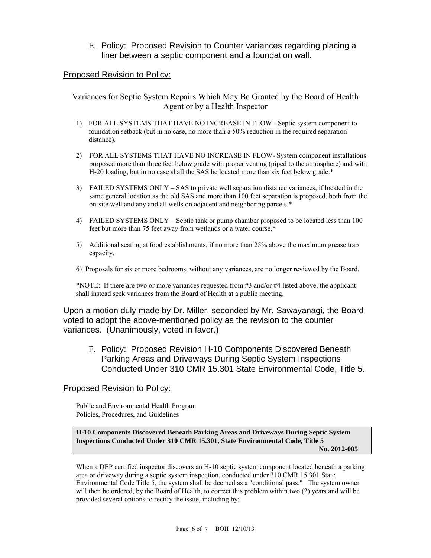E. Policy: Proposed Revision to Counter variances regarding placing a liner between a septic component and a foundation wall.

### Proposed Revision to Policy:

Variances for Septic System Repairs Which May Be Granted by the Board of Health Agent or by a Health Inspector

- 1) FOR ALL SYSTEMS THAT HAVE NO INCREASE IN FLOW Septic system component to foundation setback (but in no case, no more than a 50% reduction in the required separation distance).
- 2) FOR ALL SYSTEMS THAT HAVE NO INCREASE IN FLOW- System component installations proposed more than three feet below grade with proper venting (piped to the atmosphere) and with H-20 loading, but in no case shall the SAS be located more than six feet below grade.\*
- 3) FAILED SYSTEMS ONLY SAS to private well separation distance variances, if located in the same general location as the old SAS and more than 100 feet separation is proposed, both from the on-site well and any and all wells on adjacent and neighboring parcels.\*
- 4) FAILED SYSTEMS ONLY Septic tank or pump chamber proposed to be located less than 100 feet but more than 75 feet away from wetlands or a water course.\*
- 5) Additional seating at food establishments, if no more than 25% above the maximum grease trap capacity.
- 6) Proposals for six or more bedrooms, without any variances, are no longer reviewed by the Board.

\*NOTE: If there are two or more variances requested from #3 and/or #4 listed above, the applicant shall instead seek variances from the Board of Health at a public meeting.

Upon a motion duly made by Dr. Miller, seconded by Mr. Sawayanagi, the Board voted to adopt the above-mentioned policy as the revision to the counter variances. (Unanimously, voted in favor.)

F. Policy: Proposed Revision H-10 Components Discovered Beneath Parking Areas and Driveways During Septic System Inspections Conducted Under 310 CMR 15.301 State Environmental Code, Title 5.

#### Proposed Revision to Policy:

Public and Environmental Health Program Policies, Procedures, and Guidelines

**H-10 Components Discovered Beneath Parking Areas and Driveways During Septic System Inspections Conducted Under 310 CMR 15.301, State Environmental Code, Title 5 No. 2012-005** 

When a DEP certified inspector discovers an H-10 septic system component located beneath a parking area or driveway during a septic system inspection, conducted under 310 CMR 15.301 State Environmental Code Title 5, the system shall be deemed as a "conditional pass." The system owner will then be ordered, by the Board of Health, to correct this problem within two (2) years and will be provided several options to rectify the issue, including by: